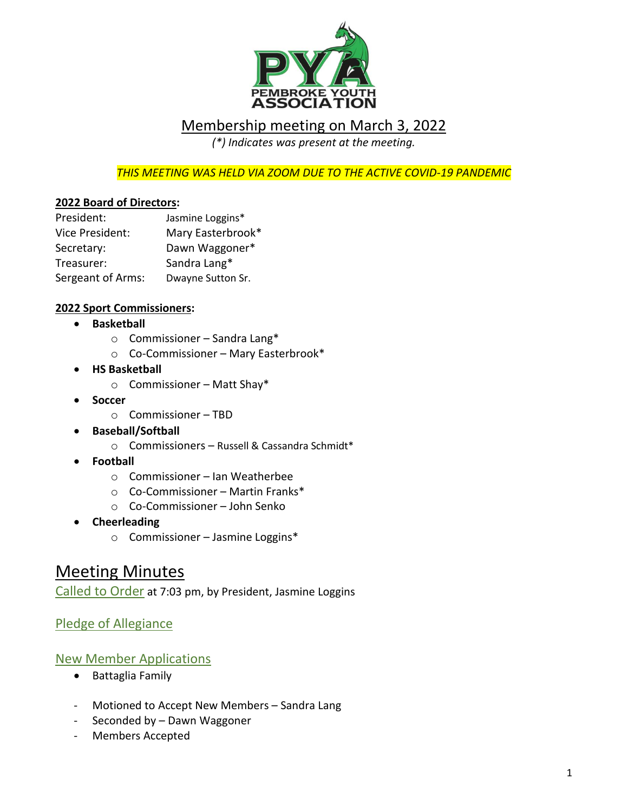

### Membership meeting on March 3, 2022

*(\*) Indicates was present at the meeting.*

*THIS MEETING WAS HELD VIA ZOOM DUE TO THE ACTIVE COVID-19 PANDEMIC*

#### **2022 Board of Directors:**

| President:        | Jasmine Loggins*  |
|-------------------|-------------------|
| Vice President:   | Mary Easterbrook* |
| Secretary:        | Dawn Waggoner*    |
| Treasurer:        | Sandra Lang*      |
| Sergeant of Arms: | Dwayne Sutton Sr. |

#### **2022 Sport Commissioners:**

- **Basketball**
	- o Commissioner Sandra Lang\*
	- o Co-Commissioner Mary Easterbrook\*
- **HS Basketball**
	- o Commissioner Matt Shay\*
- **Soccer** 
	- o Commissioner TBD
- **Baseball/Softball** 
	- o Commissioners Russell & Cassandra Schmidt\*
- **Football**
	- o Commissioner Ian Weatherbee
	- o Co-Commissioner Martin Franks\*
	- o Co-Commissioner John Senko
- **Cheerleading** 
	- o Commissioner Jasmine Loggins\*

## Meeting Minutes

Called to Order at 7:03 pm, by President, Jasmine Loggins

#### Pledge of Allegiance

#### New Member Applications

- Battaglia Family
- Motioned to Accept New Members Sandra Lang
- Seconded by Dawn Waggoner
- Members Accepted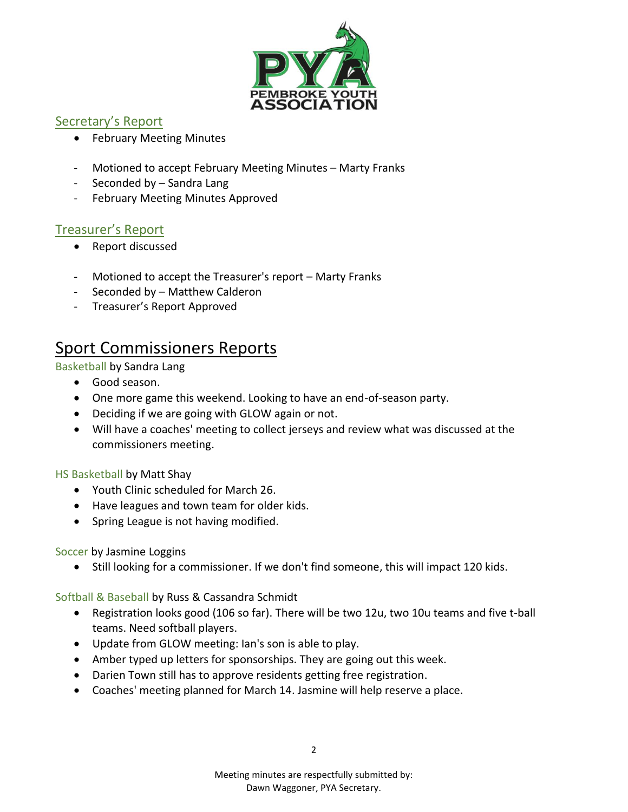

#### Secretary's Report

- February Meeting Minutes
- Motioned to accept February Meeting Minutes Marty Franks
- Seconded by Sandra Lang
- February Meeting Minutes Approved

#### Treasurer's Report

- Report discussed
- Motioned to accept the Treasurer's report Marty Franks
- Seconded by Matthew Calderon
- Treasurer's Report Approved

# Sport Commissioners Reports

#### Basketball by Sandra Lang

- Good season.
- One more game this weekend. Looking to have an end-of-season party.
- Deciding if we are going with GLOW again or not.
- Will have a coaches' meeting to collect jerseys and review what was discussed at the commissioners meeting.

#### HS Basketball by Matt Shay

- Youth Clinic scheduled for March 26.
- Have leagues and town team for older kids.
- Spring League is not having modified.

#### Soccer by Jasmine Loggins

• Still looking for a commissioner. If we don't find someone, this will impact 120 kids.

Softball & Baseball by Russ & Cassandra Schmidt

- Registration looks good (106 so far). There will be two 12u, two 10u teams and five t-ball teams. Need softball players.
- Update from GLOW meeting: Ian's son is able to play.
- Amber typed up letters for sponsorships. They are going out this week.
- Darien Town still has to approve residents getting free registration.
- Coaches' meeting planned for March 14. Jasmine will help reserve a place.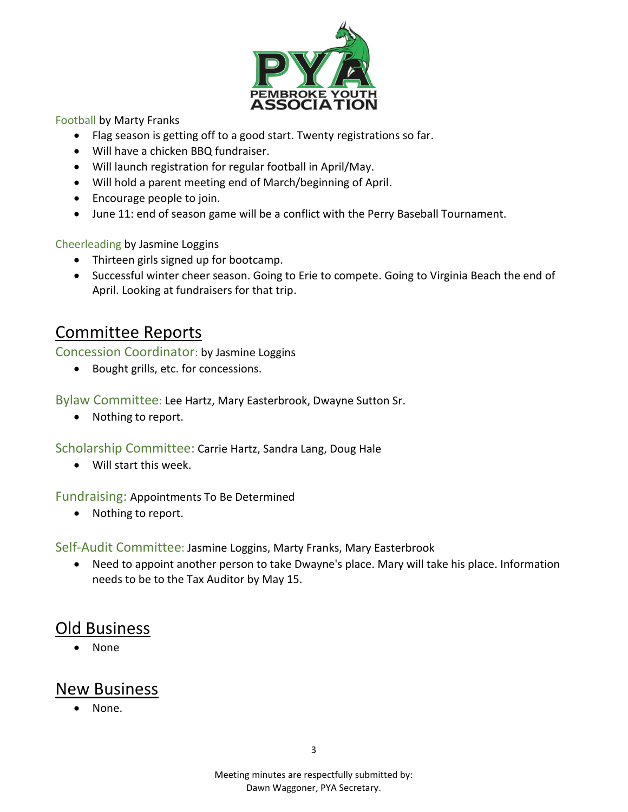

Football by Marty Franks

- Flag season is getting off to a good start. Twenty registrations so far.
- Will have a chicken BBQ fundraiser.
- Will launch registration for regular football in April/May.
- Will hold a parent meeting end of March/beginning of April.
- Encourage people to join.
- June 11: end of season game will be a conflict with the Perry Baseball Tournament.

Cheerleading by Jasmine Loggins

- Thirteen girls signed up for bootcamp.
- Successful winter cheer season. Going to Erie to compete. Going to Virginia Beach the end of April. Looking at fundraisers for that trip.

## Committee Reports

Concession Coordinator: by Jasmine Loggins

• Bought grills, etc. for concessions.

Bylaw Committee: Lee Hartz, Mary Easterbrook, Dwayne Sutton Sr.

• Nothing to report.

Scholarship Committee: Carrie Hartz, Sandra Lang, Doug Hale

• Will start this week.

Fundraising: Appointments To Be Determined

• Nothing to report.

Self-Audit Committee: Jasmine Loggins, Marty Franks, Mary Easterbrook

• Need to appoint another person to take Dwayne's place. Mary will take his place. Information needs to be to the Tax Auditor by May 15.

## Old Business

• None

## New Business

• None.